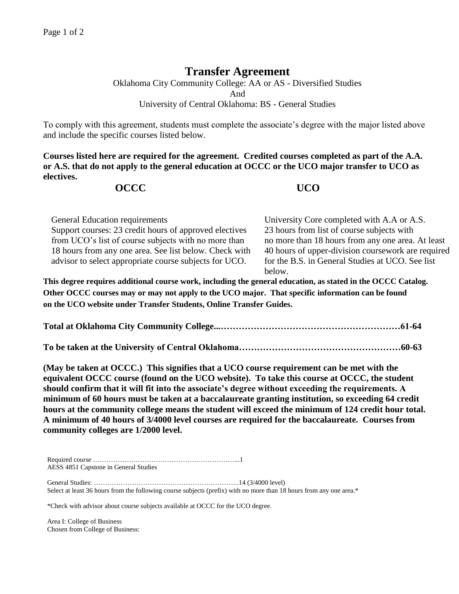## **Transfer Agreement**

Oklahoma City Community College: AA or AS - Diversified Studies And University of Central Oklahoma: BS - General Studies

To comply with this agreement, students must complete the associate's degree with the major listed above and include the specific courses listed below.

**Courses listed here are required for the agreement. Credited courses completed as part of the A.A. or A.S. that do not apply to the general education at OCCC or the UCO major transfer to UCO as electives.**

## **OCCC UCO**

General Education requirements University Core completed with A.A or A.S. Support courses: 23 credit hours of approved electives 23 hours from list of course subjects with from UCO's list of course subjects with no more than no more than 18 hours from any one area. At least 18 hours from any one area. See list below. Check with advisor to select appropriate course subjects for UCO. 40 hours of upper-division coursework are required for the B.S. in General Studies at UCO. See list below.

**This degree requires additional course work, including the general education, as stated in the OCCC Catalog. Other OCCC courses may or may not apply to the UCO major. That specific information can be found on the UCO website under Transfer Students, Online Transfer Guides.** 

**Total at Oklahoma City Community College...……………………………………………………61-64**

**To be taken at the University of Central Oklahoma………………………………………………60-63**

**(May be taken at OCCC.) This signifies that a UCO course requirement can be met with the equivalent OCCC course (found on the UCO website). To take this course at OCCC, the student should confirm that it will fit into the associate's degree without exceeding the requirements. A minimum of 60 hours must be taken at a baccalaureate granting institution, so exceeding 64 credit hours at the community college means the student will exceed the minimum of 124 credit hour total. A minimum of 40 hours of 3/4000 level courses are required for the baccalaureate. Courses from community colleges are 1/2000 level.**

Required course ………………………………………………………...1 AESS 4851 Capstone in General Studies

General Studies: ………………………………………………………..14 (3/4000 level) Select at least 36 hours from the following course subjects (prefix) with no more than 18 hours from any one area.\*

\*Check with advisor about course subjects available at OCCC for the UCO degree.

Area I: College of Business Chosen from College of Business: